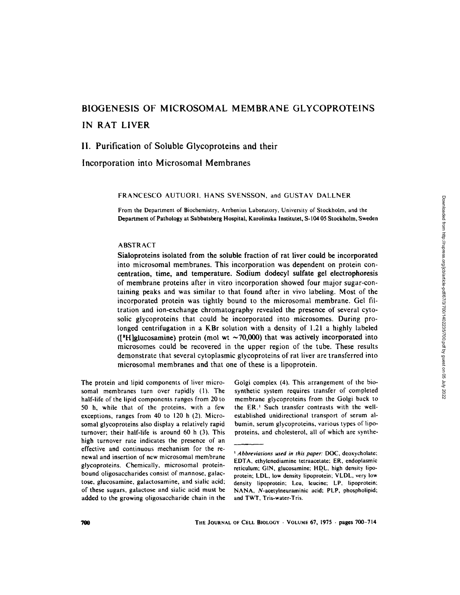# **BIOGENESIS OF MICROSOMAL MEMBRANE GLYCOPROTEINS IN RAT LIVER**

# **II. Purification of Soluble Glycoproteins and their**

**Incorporation into Microsomal Membranes** 

FRANCESCO AUTUORI, HANS SVENSSON, and GUSTAV DALLNER

From the Department of Biochemistry, Arrhenius Laboratory, University of Stockholm, and the Department of Pathology at Sabbatsberg Hospital, Karolinska Institutet, S-104 05 Stockholm, Sweden

## ABSTRACT

Sialoproteins isolated from the soluble fraction of rat liver could be incorporated into microsomal membranes. This incorporation was dependent on protein concentration, time, and temperature. Sodium dodecyl sulfate gel electrophoresis of membrane proteins after in vitro incorporation showed four major sugar-containing peaks and was similar to that found after in vivo labeling. Most of the incorporated protein was tightly bound to the microsomal membrane. Gel filtration and ion-exchange chromatography revealed the presence of several cytosolic glycoproteins that could be incorporated into microsomes. During prolonged centrifugation in a KBr solution with a density of 1.21 a highly labeled ([<sup>3</sup>H]glucosamine) protein (mol wt  $\sim$  70,000) that was actively incorporated into microsomes could be recovered in the upper region of the tube. These results demonstrate that several cytoplasmic glycoproteins of rat liver are transferred into microsomal membranes and that one of these is a iipoprotein.

The protein and lipid components of liver microsomal membranes turn over rapidly (I), The half-life of the lipid components ranges from 20 to 50 h, while that of the proteins, with a few exceptions, ranges from 40 to 120 h (2). Microsomal glycoproteins also display a relatively rapid turnover; their half-life is around 60 h (3). This high turnover rate indicates the presence of an effective and continuous mechanism for the renewal and insertion of new microsomal membrane glycoproteins. Chemically, microsomal proteinbound oligosaccharides consist of mannose, galactose, glucosamine, galactosamine, and sialic acid; of these sugars, gaLactose and sialic acid must be added to the growing oligosaccharide chain in the

Golgi complex (4). This arrangement of the biosynthetic system requires transfer of completed membrane glycoproteins from the Golgi back to the ER.<sup>1</sup> Such transfer contrasts with the wellestablished unidirectional transport of serum albumin, serum glycoproteins, various types of lipoproteins, and cholesterol, all of which are synthe-

<sup>&</sup>lt;sup>1</sup> Abbreviations used in this paper: DOC, deoxycholate; EDTA, ethylenediamine tetraacetate; ER. endoplasmic reticulum: GIN, glucosamine; HDL, high density lipoprotein: LDL, low density lipoprotein; VLDL, very low density lipoprotein: Leu, leucine: LP. lipoprotein: NANA, N-acetylneuraminic acid: PLP, phospholipid: **and** TWT, Tris-water-Tris.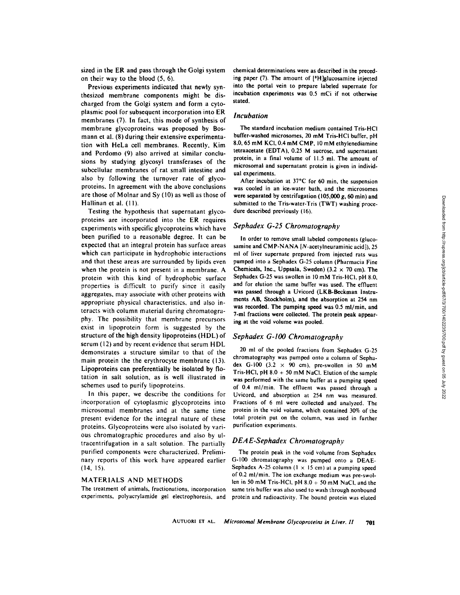sized in the ER and pass through the Golgi system on their way to the blood (5, 6).

Previous experiments indicated that newly synthesized membrane components might be discharged from the Golgi system and form a cytoplasmic pool for subsequent incorporation into ER membranes (7). In fact, this mode of synthesis of membrane glycoproteins was proposed by Bosmann et al. (8) during their extensive experimentation with HeLa cell membranes. Recently, Kim and Perdomo (9) also arrived at similar conclusions by studying glycosyl transferases of the subcellular membranes of rat small intestine and also by following the turnover rate of glycoproteins. In agreement with the above conclusions are those of Molnar and Sy (10) as well as those of Hallinan et al. (11).

Testing the hypothesis that supernatant glycoproteins are incorporated into the ER requires experiments with specific glycoproteins which have been purified to a reasonable degree. It can be expected that an integral protein has surface areas which can participate in hydrophobic interactions and that these areas are surrounded by lipids even when the protein is not present in a membrane. A protein with this kind of hydrophobic surface properties is difficult to purify since it easily aggregates, may associate with other proteins with appropriate physical characteristics, and also interacts with column material during chromatography. The possibility that membrane precursors exist in lipoprotein form is suggested by the structure of the high density lipoproteins (HDL) of serum (12) and by recent evidence that serum HDL demonstrates a structure similar to that of the main protein the the erythrocyte membrane (13). Lipoproteins can preferentially be isolated by flotation in salt solution, as is well illustrated in schemes used to purify lipoproteins.

In this paper, we describe the conditions for incorporation of cytoplasmic glycoproteins into microsomal membranes and at the same time present evidence for the integral nature of these proteins. Glycoproteins were also isolated by various chromatographic procedures and also by ultracentrifugation in a salt solution. The partially purified components were characterized. Preliminary reports of this work have appeared earlier  $(14, 15)$ .

## MATERIALS AND METHODS

The treatment of animals, fractionations, incorporation experiments, polyacrylamide gel electrophoresis, and chemical determinations were as described in the preceding paper (7). The amount of [<sup>3</sup>H]glucosamine injected into the portal vein to prepare labeled supernate for incubation experiments was 0.5 mCi if not otherwise stated.

## *Incubation*

The standard incubation medium contained Tris-HCI buffer-washed microsomes, 20 mM Tris-HCI buffer, pH 8.0, 65 mM KCI, 0.4 mM CMP, l0 mM ethylenediamine **tetraacetate** (EDTA), 0.25 M sucrose, and supernatant protein, in a final volume of 11.5 ml. The amount of microsomal and supernatant protein is given in individual experiments.

After incubation at 37°C for 60 min, the suspension was cooled in an ice-water bath, and the microsomes were separated by centrifugation (105,000 g, 60 min) and submitted to the Tris-water-Tris (TWT) washing procedure described previously (16).

## *Sephadex G-25 Chromatography*

In order to remove small labeled components (glucosamine and CMP-NANA [N-acetylneuraminic acid]), 25 ml of liver supernate prepared from injected rats was pumped into a Sephadex G-25 column (Pharmacia Fine Chemicals, Inc., Uppsala, Sweden) (3.2  $\times$  70 cm). The Sephadex G-25 was swollen in l0 mM Tris-HCI, pH 8.0, and for elution the same buffer was used. The effluent **was passed through** a Uvicord (LKB-Beckman Instruments AB, Stockholm), and the absorption at 254 nm **was** recorded. The pumping speed was 0.5 ml/min, **and**  7-ml fractions were collected. The protein peak appearing at the void volume was pooled.

## *Sephadex G-IO0 Chromatography*

20 ml of the pooled fractions from Sephadex G-25 chromatography was pumped onto a column of Sephadex G-100 (3.2  $\times$  90 cm), pre-swollen in 50 mM Tris-HCl, pH  $8.0 + 50$  mM NaCl. Elution of the sample **was** performed with the same buffer at a pumping speed of 0.4 ml/min. The effluent was passed through a Uvicord, and absorption at 254 nm was measured. Fractions of 6 ml were collected and analyzed. The protein in the void volume, which contained 30% of the total protein put on the column, was used in farther purification experiments.

### *D EA E-Sephadex Chromatograph,v*

The protein peak in the void volume from Sephadex G-100 chromatography was pumped onto a DEAE-Sephadex A-25 column ( $1 \times 15$  cm) at a pumping speed of 0.2 ml/min. The ion exchange medium was pre-swollen in 50 mM Tris-HCl,  $pH 8.0 + 50$  mM NaCl, and the same tris buffer was also used to wash through nonbound protein and radioactivity. The bound protein was eluted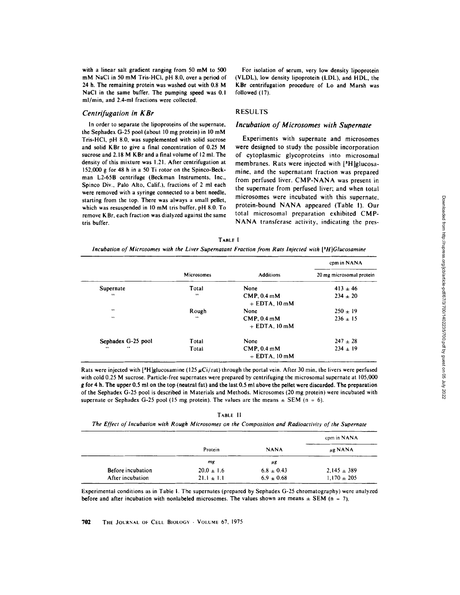with a linear salt gradient ranging from 50 mM to 500 mM NaCI in 50 mM Tris-HCI, pH 8.0, over a period of 24 h. The remaining protein was washed out with 0.8 M NaCI in the same buffer. The pumping speed was 0.1 ml/min, and 2.4-ml fractions were collected.

#### *Centrifugation in KBr*

In order to separate the lipoproteins of the supernate, the Sephadex G-25 pool (about 10 mg protein) in 10 mM Tris-HCI, pH 8.0, was supplemented with solid sucrose and solid KBr to give a final concentration of 0.25 M sucrose and 2.18 M K Br and a final volume of 12 ml. The density of this mixture was 1.21. After centrifugation at 152,000 g for 48 h in a 50 Ti rotor on the Spinco-Beckman L2-65B centrifuge (Beckman Instruments, Inc., Spinco Div., Palo Alto, Calif.), fractions of 2 ml each were removed with a syringe connected to a bent needle. starting from the top. There was always a small pellet, which was resuspended in 10 mM tris buffer, pH 8.0. To remove KBr, each fraction was dialyzed against the same tris buffer.

For isolation of serum, very low density lipoprotein (VLDL), low density lipoprotein (LDL), and HDL, the KBr centrifugation procedure of Lo and Marsh was followed (17).

# RESULTS

## *Incubation of Microsomes with Supernate*

Experiments with supernate and microsomes were designed to study the possible incorporation of cytoplasmic glycoproteins into microsomal membranes. Rats were injected with  $[3H]$ glucosamine, and the supernatant fraction was prepared from perfused liver. CMP-NANA was present in the supernate from perfused liver; and when total microsomes were incubated with this supernate, protein-bound NANA appeared (Table I). Our total microsomal preparation exhibited CMP-NANA transferase activity, indicating the pres-

| <b>TABLE</b> I                                                                                               |  |  |  |  |  |
|--------------------------------------------------------------------------------------------------------------|--|--|--|--|--|
| Incubation of Microsomes with the Liver Supernatant Fraction from Rats Injected with $[{}^{8}H$ }Glucosamine |  |  |  |  |  |

|                         |                  |                                  | cpm in NANA              |
|-------------------------|------------------|----------------------------------|--------------------------|
|                         | Microsomes       | <b>Additions</b>                 | 20 mg microsomal protein |
| Supernate               | Total            | None                             | $413 \pm 46$             |
| $\ddotsc$               | $\bullet\bullet$ | $CMP, 0.4$ mM<br>$+$ EDTA, 10 mM | $234 \pm 20$             |
| $\bullet\bullet$        | Rough            | None                             | $250 + 19$               |
| $\cdots$                | $\bullet\bullet$ | $CMP. 0.4$ mM<br>$+$ EDTA, 10 mM | $236 \pm 15$             |
| Sephadex G-25 pool      | Total            | None                             | $247 \pm 28$             |
| х×.<br>$\bullet\bullet$ | Total            | $CMP, 0.4$ mM<br>$+$ EDTA, 10 mM | $234 \pm 19$             |

Rats were injected with [<sup>3</sup>H]glucosamine (125  $\mu$ Ci/rat) through the portal vein. After 30 min, the livers were perfused with cold 0.25 M sucrose. Particle-free supernates were prepared by centrifuging the microsomal supernate at  $105,000$ g for 4 h. The upper 0.5 ml on the top (neutral fat) and the last 0.5 ml above the pellet were discarded. The preparation of the Sephadex G-25 pool is described in Materials and Methods. Microsomes (20 mg protein) were incubated with supernate or Sephadex G-25 pool (15 mg protein). The values are the means  $\pm$  SEM (n = 6).

TABLE Ii

*The Effect of Incubation with Rough Microsomes on the Composition and Radioactivity of the Supernate* 

|                   |                |                | cpm in NANA     |
|-------------------|----------------|----------------|-----------------|
|                   | Protein        | <b>NANA</b>    | $\mu$ g NANA    |
|                   | mg             | μg             |                 |
| Before incubation | $20.0 \pm 1.6$ | $6.8 \pm 0.43$ | $2.145 \pm 389$ |
| After incubation  | $21.1 \pm 1.1$ | $6.9 \pm 0.68$ | $1.170 \pm 205$ |

Experimental conditions as in Table I. The supernates (prepared by Sephadex G-25 chromatography) were analyzed before and after incubation with nonlabeled microsomes. The values shown are means  $\pm$  SEM (n = 7).

702 THE JOURNAL OF CELL BIOLOGY - VOLUME 67, 1975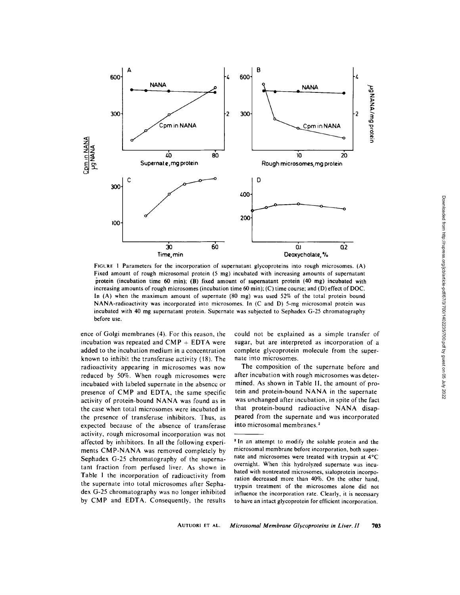

FIGURE I Parameters for the incorporation of supernatant glycoproteins into rough microsomes. (A) Fixed amount of rough microsomal protein (5 mg) incubated with increasing amounts of supernatant protein (incubation time 60 min); (B) fixed amount of supernatant protein (40 mg) incubated with increasing amounts of rough microsomes (incubation time 60 min); (C) time course: and (D) effect of DOC. In (A) when the maximum amount of supernate (80 mg) was used 52% of the total protein bound NANA-radioactivity was incorporated into microsomes, in (C and D) 5-mg microsomal protein was incubated with 40 mg supernatant protein. Supernate was subjected to Sephadex G-25 chromatography before use.

ence of Golgi membranes (4). For this reason, the incubation was repeated and  $\text{CMP} + \text{EDTA}$  were added to the incubation medium in a concentration known to inhibit the transferase activity (18). The radioactivity appearing in microsomes was now reduced by 50%. When rough microsomes were incubated with labeled supernate in the absencc or presence of CMP and EDTA, the same specific activity of protein-bound NANA was found as in the case when total microsomes were incubated in the presence of transferase inhibitors. Thus, as expected because of the absence of transferase activity, rough microsomal incorporation was not affected by inhibitors. In all the following experiments CMP-NANA was removed completely by Sephadex G-25 chromatography of the supernatant fraction from perfused liver. As shown in Table 1 the incorporation of radioactivity from the supernate into total microsomes after Sephadex G-25 chromatography was no longer inhibited by CMP and EDTA. Consequently, the results

could not be explained as a simple transfer of sugar, but are interpreted as incorporation of a complete glycoprotein molecule from the supernate into microsomes.

The composition of the supernate before and after incubation with rough microsomes was determined. As shown in Table II, the amount of protein and protein-bound NANA in the supernate was unchanged after incubation, in spite of the fact that protein-bound radioactive NANA disappeared from the supernate and was incorporated into microsomal membranes. 2

<sup>&</sup>lt;sup>2</sup> In an attempt to modify the soluble protein and the microsomal membrane before incorporation, both supernate and microsomes were treated with trypsin at  $4^{\circ}$ C overnight. When this hydrolyzed supernate was incubated with nontreated microsomes, sialoprotein incorporation decreased more than 40%. On the other hand, trypsin treatment of the microsomes alone did not influence the incorporation rate. Clearly, it is necessary to have an intact glycoprotein for efficient incorporation.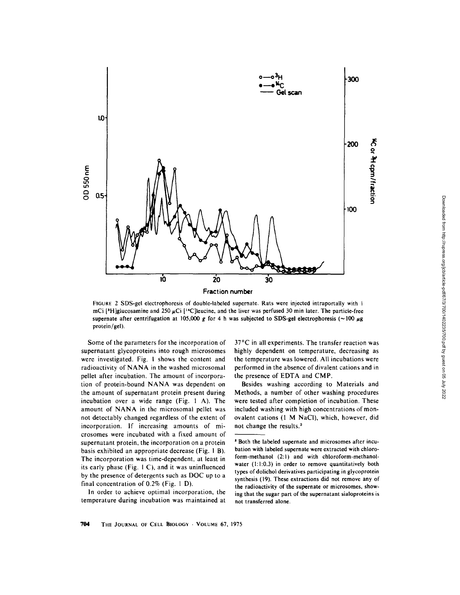

FIGURE 2 SDS-gel electrophoresis of double-labeled supernate. Rats were injected intraportally with t mCi [<sup>3</sup>H]glucosamine and 250  $\mu$ Ci [<sup>14</sup>C]leucine, and the liver was perfused 30 min later. The particle-free supernate after centrifugation at 105,000 g for 4 h was subjected to SDS-gel electrophoresis (~100  $\mu$ g protein/gel).

Some of the parameters for the incorporation of supernatant glycoproteins into rough microsomes were investigated. Fig. I shows the content and radioactivity of NANA in the washed microsomal pellet after incubation. The amount of incorporation of protein-bound NANA was dependent on the amount of supernatant protein present during incubation over a wide range (Fig. 1 A). The amount of NANA in the microsomal pellet was not detectably changed regardless of the extent of incorporation. If increasing amounts of microsomes were incubated with a fixed amount of supernatant protein, the incorporation on a protein basis exhibited an appropriate decrease (Fig. 1 B). The incorporation was time-dependent, at least in its early phase (Fig. 1 C), and it was uninfluenced by the presence of detergents such as DOC up to a final concentration of 0.2% (Fig. 1 D).

In order to achieve optimal incorporation, the temperature during incubation was maintained at

37°C in all experiments. The transfer reaction was highly dependent on temperature, decreasing as the temperature was lowered. All incubations were performed in the absence of divalent cations and in the presence of EDTA and CMP.

Besides washing according to Materials and Methods, a number of other washing procedures were tested after completion of incubation. These included washing with high concentrations of monovalent cations (1 M NaCI), which, however, did not change the results.<sup>3</sup>

s Both the labeled supernate and microsomes after incubation with labeled supernate were extracted with chloroform-methanol (2:1) and with chloroform-methanolwater (1:1:0.3) in order to remove quantitatively both types of dolichol derivatives participating in glycoprotein synthesis (19). These extractions did not remove any of the radioactivity of the supernate or microsomes, showing that the sugar part of the supernatant sialoproteins is not transferred alone.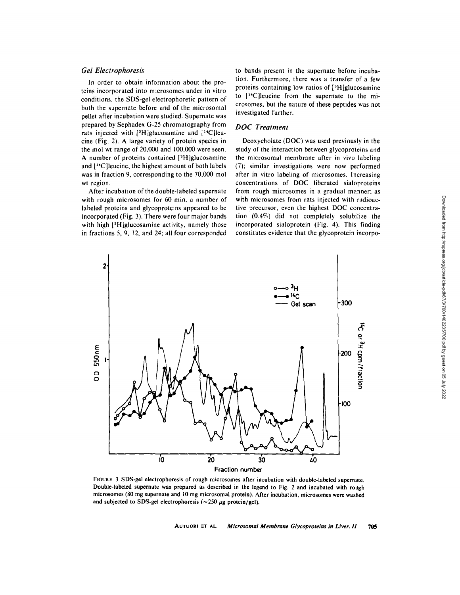# *Gel Electrophoresis*

In order to obtain information about the proteins incorporated into microsomes under in vitro conditions, the SDS-gel electrophoretic pattern of both the supernate before and of the microsomal pellet after incubation were studied. Supernate was prepared by Sephadex G-25 chromatography from rats injected with  $[3H]$ glucosamine and  $[14C]$ leucine (Fig. 2). A large variety of protein species in the mol wt range of  $20,000$  and  $100,000$  were seen. A number of proteins contained [<sup>3</sup>H]glucosamine and  $[14C]$ leucine, the highest amount of both labels was in fraction 9, corresponding to the 70,000 mol wt region.

After incubation of the double-labeled supernate with rough microsomes for 60 min, a number of labeled proteins and glycoproteins appeared to be incorporated (Fig. 3). There were four major bands with high [<sup>3</sup>H]glucosamine activity, namely those in fractions 5, 9, 12, and 24; all four corresponded to bands present in the supernate before incubation. Furthermore, there was a transfer of a few proteins containing low ratios of  $[3H]$ glucosamine to  $[$ <sup>14</sup>C]leucine from the supernate to the microsomes, but the nature of these peptides was not investigated further.

## *DOC Treatment*

Deoxycholate (DOC) was used previously in the study of the interaction between glycoproteins and the microsomal membrane after in vivo labeling (7); similar investigations were now performed after in vitro labeling of microsomes. Increasing concentrations of DOC liberated sialoproteins from rough microsomes in a gradual manner; as with microsomes from rats injected with radioactive precursor, even the highest DOC concentration (0.4%) did not completely solubilize the incorporated sialoprotein (Fig. 4). This finding constitutes evidence that the glycoprotein incorpo-



FIGURE 3 SDS-gel electrophoresis of rough microsomes after incubation with double-labeled supernate. Double-labeled supernate was prepared as described in the legend to Fig. 2 and incubated with rough microsomes (80 mg **supernate and** l0 mg microsomal protein). After incubation, microsomes were washed and subjected to SDS-gel electrophoresis ( $\sim$ 250  $\mu$ g protein/gel),

AUTUORI ET AL. *Microsomal Membrane Glycoproteins in'Liver. 11 705*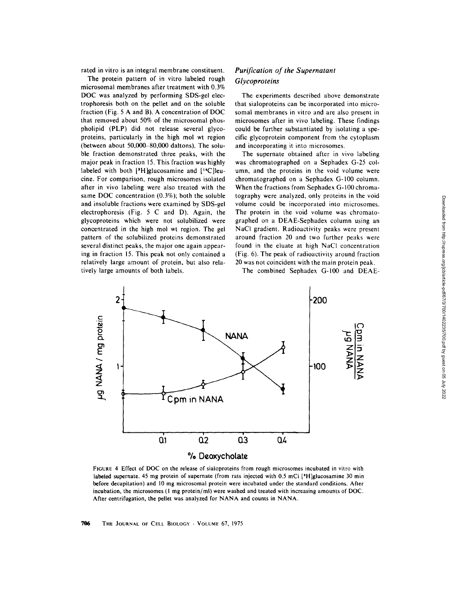rated in vitro is an integral membrane constituent.

The protein pattern of in vitro labeled rough microsomal membranes after treatment with 0.3% DOC was analyzed by performing SDS-gel electrophoresis both on the pellet and on the soluble fraction (Fig. 5 A and B). A concentration of DOC that removed about 50% of the microsomal phospholipid (PLP) did not release several glycoproteins, particularly in the high mol wt region (between about 50,000-80,000 daltons). The soluble fraction demonstrated three peaks, with the major peak in fraction 15. This fraction was highly labeled with both  $[3H]$ glucosamine and  $[14C]$ leucine. For comparison, rough microsomes isolated after in vivo labeling were also treated with the same DOC concentration (0.3%); both the soluble and insoluble fractions were examined by SDS-gel electrophoresis (Fig. 5 C and D). Again, the glycoproteins which were not solubilized were concentrated in the high mol wt region. The gel pattern of the solubilized proteins demonstrated several distinct peaks, the major one again appearing in fraction 15. This peak not only contained a relatively large amount of protein, but also relatively large amounts of both labels,

# *Purification of the Supernatant Glycoproteins*

The experiments described above demonstrate that sialoproteins can be incorporated into microsomal membranes in vitro and are also present in microsomes after in vivo labeling. These findings could be further substantiated by isolating a specific glycoprotein component from the cytoplasm and incorporating it into microsomes.

The supernate obtained after in vivo labeling was chromatographed on a Sephadex G-25 column, and the proteins in the void volume were chromatographed on a Sephadex G-100 column. When the fractions from Sephadex G-100 chromatography were analyzed, only proteins in the void volume could be incorporated into microsomes. The protein in the void volume was chromatographed on a DEAE-Sephadex column using an NaCI gradient. Radioactivity peaks were present around fraction 20 and two further peaks were found in the eluate at high NaC1 concentration (Fig. 6). The peak of radioactivity around fraction 20 was not coincident with the main protein peak.

The combined Sephadex G-100 and DEAE-



FIGURE 4 Effect of DOC on the release of sialoproteins from rough microsomes incubated in vitro with labeled supernate. 45 mg protein of supernate (from rats injected with 0.5 mCi [<sup>9</sup>H]glucosamine 30 min before decapitation) and 10 mg microsomal protein were incubated under the standard conditions. After incubation, the microsomes (1 mg protein/ml) were washed and treated with increasing amounts of DOC. After centrifugation, the pellet was analyzed for NANA and counts in NANA.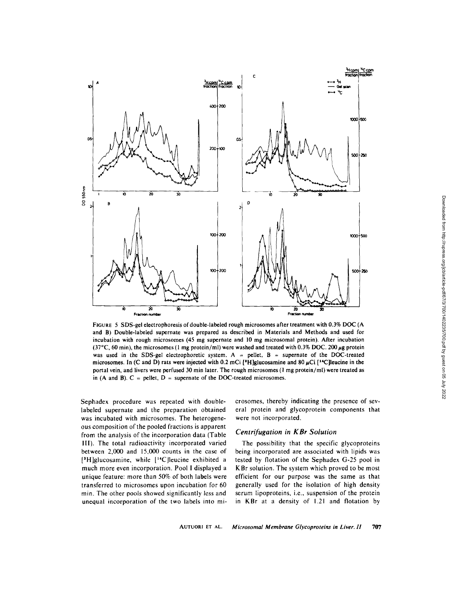

FIGURE 5 SDS-gel electrophoresis of double-labeled rough microsomes after treatment with 0.3% DOC (A and B) Double-labeled supernate was prepared as described in Materials and Methods and used for incubation with rough microsomes (45 mg supernate and 10 mg microsomal protein). After incubation (37°C, 60 min), the microsomes (1 mg protein/ml) were washed and treated with 0.3% DOC. 200  $\mu$ g protein was used in the SDS-gel electrophoretic system. A = pellet,  $B$  = supernate of the DOC-treated microsomes. In (C and D) rats were injected with 0.2 mCi [<sup>3</sup>H]glucosamine and 80  $\mu$ Ci [<sup>14</sup>C]leucine in the portal vein, and livers were perfused 30 min later. The rough microsomes (1 mg protein/ml) were treated as in (A and B).  $C =$  pellet,  $D =$  supernate of the DOC-treated microsomes.

Sephadex procedure was repeated with doublelabeled supernate and the preparation obtained was incubated with microsomes. The heterogeneous composition of the pooled fractions is apparent from the analysis of the incorporation data (Table 11I), The total radioactivity incorporated varied between 2,000 and 15,000 counts in the case of  $[{}^{3}H]$ glucosamine, while  $[{}^{14}C]$ leucine exhibited a much more even incorporation. Pool I displayed a unique feature: more than 50% of both labels were transferred to microsomes upon incubation for 60 min. The other pools showed significantly less and unequal incorporation of the two labels into microsomes, thereby indicating the presence of several protein and glycoprotein components that were not incorporated.

## *Centrifugation in KBr Solution*

The possibility that the specific glycoproteins being incorporated are associated with lipids was tested by flotation of the Sephadex G-25 pool in KBr solution. The system which proved to be most efficient for our purpose was the same as that generally used for the isolation of high density serum lipoproteins, i.e., suspension of the protein in KBr at a density of 1.21 and flotation by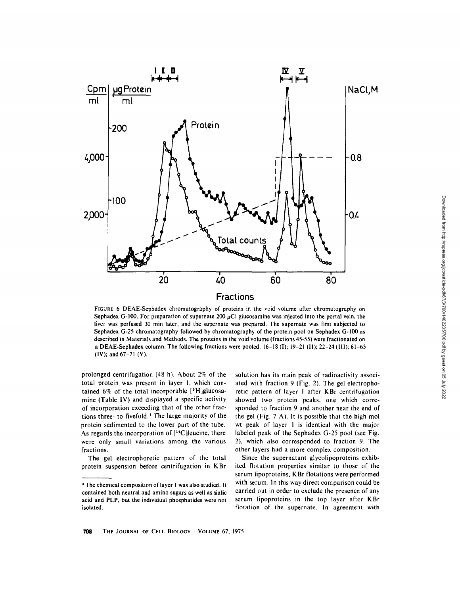

FIGURE 6 DEAE-Sephadex chromatography of proteins in the void volume after chromatography on Sephadex G-100. For preparation of supernate 200  $\mu$ Ci glucosamine was injected into the portal vein, the liver was perfused 30 min later, and the supernate was prepared. The supernate was first subjected to Sephadex G-25 chromatography followed by chromatography of the protein pool on Sephadex G-100 as described in Materials and Methods. The proteins in the void volume (fractions 45-55) were fractionated on a DEAE-Sephadex column. The following fractions were pooled: 16-18 (I); 19-21 (11); 22-24 (111); 61-65 (IV); and 67-71 (V).

prolonged centrifugation (48 h). About 2% of the total protein was present in layer I, which contained  $6\%$  of the total incorporable  $[3H]$ glucosamine (Table IV) and displayed a specific activity of incorporation exceeding that of the other fractions three- to fivefold.<sup>4</sup> The large majority of the protein sedimented to the lower part of the tube. As regards the incorporation of  $[14C]$  leucine, there were only small variations among the various fractions.

The gel electrophoretic pattern of the total protein suspension before centrifugation in KBr

solution has its main peak of radioactivity associated with fraction 9 (Fig. 2). The gel electrophoretic pattern of layer I after KBr centrifugation showed two protein peaks, one which corresponded to fraction 9 and another near the end of the gel (Fig. 7 A). It is possible that the high mol wt peak of layer 1 is identical with the major labeled peak of the Sephadex G-25 pool (see Fig. 2), which also corresponded to fraction 9. The other layers had a more complex composition.

Since the supernatant glycolipoproteins exhibited flotation properties similar to those of the serum lipoproteins, KBr flotations were performed with serum, in this way direct comparison could be carried out in order to exclude the presence of any serum lipoproteins in the top layer after KBr flotation of the supernate. In agreement with

The chemical composition of layer 1 was also studied. It contained both neutral and amino sugars as well as sialic acid and PLP, but the individual phosphatides were not isolated.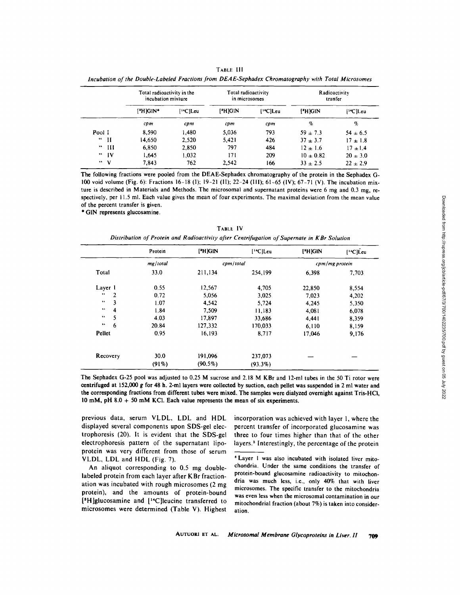| TABLE III                                                                                          |                     |               |  |  |  |  |
|----------------------------------------------------------------------------------------------------|---------------------|---------------|--|--|--|--|
| Incubation of the Double-Labeled Fractions from DEAE-Sephadex Chromatography with Total Microsomes |                     |               |  |  |  |  |
| Total radioactivity in the                                                                         | Total radioactivity | Radioactivity |  |  |  |  |

|               |              | I otal radioactivity in the<br>incubation mixture |                             | I otal radioactivity<br>in microsomes |                       | <b>Kadioactivity</b><br>tranfer |                             |
|---------------|--------------|---------------------------------------------------|-----------------------------|---------------------------------------|-----------------------|---------------------------------|-----------------------------|
|               |              | $[H]$ GIN*                                        | $[$ <sup>14</sup> C $]$ Leu | $[$ <sup>*</sup> H $]$ G $i$ N        | [ <sup>14</sup> C]Leu | ['H]GIN                         | $[$ <sup>14</sup> C $]$ Leu |
|               |              | cpm                                               | cpm                         | cpm                                   | cpm                   | %                               | %                           |
| Pool I        |              | 8.590                                             | 1.480                       | 5,036                                 | 793                   | $59 + 7.3$                      | $54 \pm 6.5$                |
| " II          |              | 14.650                                            | 2,520                       | 5.421                                 | 426                   | $37 + 3.7$                      | $17 \pm 1.8$                |
| $\sim$ 64 $-$ | $_{\rm III}$ | 6.850                                             | 2,850                       | 797                                   | 484                   | $12 \pm 1.6$                    | $17 + 1.4$                  |
|               | "''          | 1.645                                             | 1.032                       | 171                                   | 209                   | $10 \pm 0.82$                   | $20 \pm 3.0$                |
| $\cdots$ v    |              | 7.843                                             | 762                         | 2.542                                 | 166                   | $33 + 2.5$                      | $22 \pm 2.9$                |

The following fractions were pooled from the DEAE-Sephadex chromatography of the protein in the Sephadex G-100 void volume (Fig. 6): Fractions 16-18 (1); 19-21 (1I); 22-24 (Iil); 61-65 (IV); 67-71 (V). The incubation mixture is described in Materials and Methods. The microsomal and supernatant proteins were 6 mg and 0.3 mg, respectively, per 11.5 ml. Each value gives the mean of four experiments. The maximal deviation from the mean value of the percent transfer is given.

\* GIN represents glucosamine,

| TABLE IV                                                                                    |
|---------------------------------------------------------------------------------------------|
| Distribution of Protein and Radioactivity after Centrifugation of Supernate in KBr Solution |
|                                                                                             |

|                                     | Protein  | $[$ <sup>*</sup> H $]$ GIN | [ <sup>14</sup> C]Leu | $[$ <sup>*</sup> H $]$ GIN | $[$ <sup>14</sup> C]Leu |
|-------------------------------------|----------|----------------------------|-----------------------|----------------------------|-------------------------|
|                                     | mg/total | cpm/total                  |                       |                            | cpm/mg protein          |
| Total                               | 33.0     | 211,134                    | 254,199               | 6.398                      | 7,703                   |
| Layer 1                             | 0.55     | 12.567                     | 4,705                 | 22,850                     | 8,554                   |
| $\bullet\bullet$<br>$\overline{c}$  | 0.72     | 5,056                      | 3,025                 | 7.023                      | 4,202                   |
| 3<br>66                             | 1.07     | 4,542                      | 5,724                 | 4.245                      | 5,350                   |
| $\sim$ 6<br>$\overline{\mathbf{4}}$ | 1.84     | 7,509                      | 11,183                | 4,081                      | 6,078                   |
| 5<br>$\bullet\bullet$               | 4.03     | 17,897                     | 33,686                | 4.441                      | 8,359                   |
| $\bullet\bullet$<br>6               | 20.84    | 127,332                    | 170,033               | 6,110                      | 8,159                   |
| Pellet                              | 0.95     | 16,193                     | 8,717                 | 17,046                     | 9,176                   |
| Recovery                            | 30.0     | 191,096                    | 237,073               |                            |                         |
|                                     | $(91\%)$ | $(90.5\%)$                 | $(93.3\%)$            |                            |                         |

The Sephadex G-25 pool was adjusted to 0.25 M sucrose and 2.18 M KBr and 12-ml tubes in the 50 Ti rotor were centrifuged at 152,000 g for 48 h. 2-ml layers were collected by suction, each pellet was suspended in 2 ml water and the corresponding fractions from different tubes were mixed. The samples were dialyzed overnight against Tris-HCi, 10 mM, pH  $8.0 + 50$  mM KCl. Each value represents the mean of six experiments.

previous data, serum VLDL, LDL and HDL displayed several components upon SDS-gel clectrophoresis (20). it is evident that the SDS-gel electrophoresis pattern of the supernatant lipoprotein was very different from those of serum VLDL, LDL and HDL (Fig. 7).

An aliquot corresponding to 0.5 mg doublelabeled protein from each layer after KBr fractionation was incubated with rough microsomes (2 mg protein), and the amounts of protein-bound  $[$ <sup>3</sup>H]glucosamine and  $[$ <sup>1</sup> $C$ ]leucine transferred to microsomes were determined (Table V). Highest

incorporation was achieved with layer 1, where the percent transfer of incorporated glucosamine was three to four times higher than that of the other layers.<sup>5</sup> Interestingly, the percentage of the protein

<sup>&</sup>lt;sup>6</sup> Layer 1 was also incubated with isolated liver mitochondria. Under the same conditions the transfer of protein-bound glucosamine radioactivity to mitochondria was much less, i.e., only 40% that with liver microsomes. The specific transfer to the mitochondria was even less when the microsomal contamination in our mitochondrial fraction (about 7%) is taken into consideration.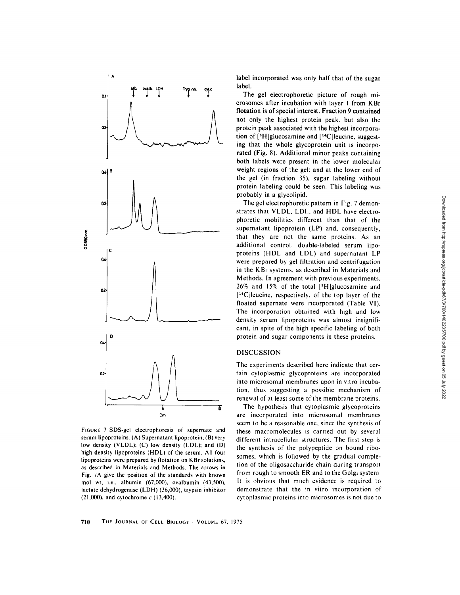

FIGURE 7 SDS-gel electrophoresis of supernate and serum lipoproteins. (A) Supernatant lipoprotein; (B) very low density (VLDL); (C) low density (LDL); and (D) high density lipoproteins (HDL) of the serum. All four lipoproteins were prepared by flotation on KBr solutions, as described in Materials and Methods. The arrows in Fig. 7A give the position of the standards with known mol wt, i.e., albumin (67,000), ovalbumin (43,500), lactate dehydrogenase (LDH) (36,000), trypsin inhibitor  $(21,000)$ , and cytochrome  $c(13,400)$ .

label incorporated was only half that of the sugar label.

The gel electrophoretic picture of rough microsomes after incubation with layer l from KBr flotation is of special interest. Fraction 9 contained not only the highest protein peak, but also the protein peak associated with the highest incorporation of  $[{}^3H]$ glucosamine and  $[{}^1C]$ leucine, suggesting that the whole glycoprotein unit is incorporated (Fig. 8). Additional minor peaks containing both labels were present in the lower molecular weight regions of the gel: and at the lower end of the gel (in fraction 35), sugar labeling without protein labeling could be seen. This labeling was probably in a glycolipid.

The gel electrophoretic pattern in Fig. 7 demonstrates that VLDL, LDL, and HDL have electrophoretic mobilities different than that of the supernatant lipoprotein (LP) and, consequently, that they are not the same proteins. As an additional control, double-labeled serum lipoproteins (HDL and LDL) and supernatant LP were prepared by gel filtration and centrifugation in the KBr systems, as described in Materials and Methods. In agreement with previous experiments, 26% and 15% of the total [3H]glucosamine and  $[$ <sup>14</sup>C [leucine, respectively, of the top layer of the floated supernate were incorporated (Table VI). The incorporation obtained with high and low density serum lipoproteins was almost insignificant, in spite of the high specific labeling of both protein and sugar components in these proteins.

## DISCUSSION

The experiments described here indicate that certain cytoplasmic glycoproteins are incorporated into microsomal membranes upon in vitro incubation, thus suggesting a possible mechanism of renewal of at least some of the membrane proteins.

The hypothesis that cytoplasmic glycoproteins are incorporated into microsomal membranes seem to be a reasonable one, since the synthesis of these macromolecules is carried out by several different intracellular structures. The first step is the synthesis of the polypeptide on bound ribosomes, which is followed by the gradual completion of the oligosaccharide chain during transport from rough to smooth ER and to the Golgi system. It is obvious that much evidence is required to demonstrate that the in vitro incorporation of cytoplasmic proteins into microsomes is not due to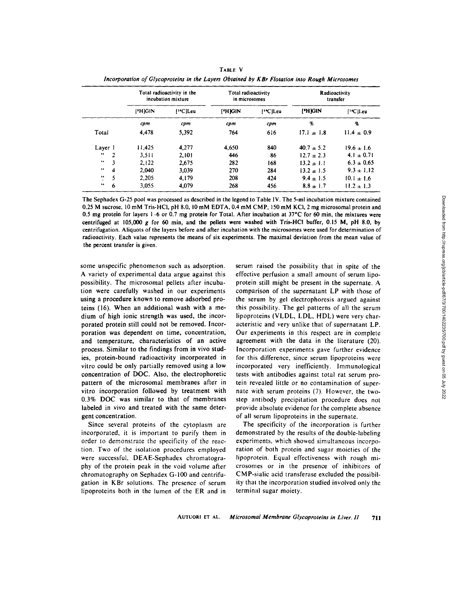|                                   | Total radioactivity in the<br>incubation mixture |                       | Total radioactivity<br>in microsomes |                       | Radioactivity<br>transfer |                |
|-----------------------------------|--------------------------------------------------|-----------------------|--------------------------------------|-----------------------|---------------------------|----------------|
|                                   | $ $ <sup>*</sup> H $ $ GIN                       | [ <sup>14</sup> C]Leu | <b>FHIGIN</b>                        | [ <sup>14</sup> C]Leu | ['H]GIN                   | ['*C]Leu       |
|                                   | cpm                                              | срт                   | cpm                                  | cpm                   | o,                        | %              |
| Total                             | 4.478                                            | 5,392                 | 764                                  | 616                   | $17.1 \pm 1.8$            | $11.4 \pm 0.9$ |
| Layer 1                           | 11,425                                           | 4.277                 | 4.650                                | 840                   | $40.7 \pm 5.2$            | $19.6 \pm 1.6$ |
| $\bullet\bullet$<br>$\mathcal{P}$ | 3.511                                            | 2,101                 | 446                                  | 86                    | $12.7 \pm 2.3$            | 4.1 $\pm$ 0.71 |
| $\bullet\bullet$<br>3             | 2,122                                            | 2.675                 | 282                                  | 168                   | $13.2 \pm 1.1$            | $6.3 \pm 0.65$ |
| 66<br>4                           | 2.040                                            | 3.039                 | 270                                  | 284                   | $13.2 \pm 1.5$            | $9.3 \pm 1.12$ |
| 5<br>46                           | 2,205                                            | 4,179                 | 208                                  | 424                   | $9.4 \pm 1.5$             | $10.1 \pm 1.6$ |
| $\bullet\bullet$<br>6             | 3.055                                            | 4.079                 | 268                                  | 456                   | $8.8 \pm 1.7$             | $11.2 \pm 1.3$ |

TABLE V *Incorporation of Glycoproteins in the Layers Obtained by KBr Flotation into Rough Microsomes* 

The Sephadex G-25 pool was processed as described in the legend to Table IV. The 5-ml incubation mixture contained 0.25 M sucrose, 10 mM Tris-HCI, pH 8.0, 10 mM EDTA, 0,4 mM CMP, 150 mM KCI, 2 mg microsomal protein **and**  0.5 mg protein for layers 1-6 or 0.7 mg **protein for** Total. After incubation at 37"C for 60 min, the mixtures **were**  centrifuged at 105,000 g for 60 min, **and the pellets were washed** with Tris-HCI buffer, 0.15 M, pH 8.0, **by**  centrifugation. Aliquots of the layers before and after incubation with the microsomes were used for determination of radioactivity. Each value represents the means of six experiments. The maximal deviation from the mean value of the percent transfer is given.

some unspecific phenomenon such as adsorption. A variety of experimental data argue against this possibility. The microsomal pellets after incubation were carefully washed in our experiments using a procedure known to remove adsorbed proteins (16). When an additional wash with a medium of high ionic strength was used, the incorporated protein still could not be removed. Incorporation was dependent on time, concentration, and temperature, characteristics of an active process. Similar to the findings from in vivo studies, protein-bound radioactivity incorporated in vitro could be only partially removed using a low concentration of DOC. Also, the electrophoretic pattern of the microsomal membranes after in vitro incorporation followed by treatment with 0.3% DOC was similar to that of membranes labeled in vivo and treated with the same detergent concentration.

Since several proteins of the cytoplasm are incorporated, it is important to purify them in order to demonstrate the specificity of the reaction. Two of the isolation procedures employed were successful, DEAE-Sephadex chromatography of the protein peak in the void volume after chromatography on Sephadex G-100 and centrifugation in KBr solutions. The presence of serum lipoproteins both in the lumen of the ER and in

serum raised the possibility that in spite of the effective perfusion a small amount of serum lipoprotein still might be present in the supernate. A comparison of the supernatant LP with those of the serum by gel electrophoresis argued against this possibility. The gel patterns of all the serum lipoproteins (VLDL, LDL, HDL) were very characteristic and very unlike that of supernatant LP. Our experiments in this respect are in complete agreement with the data in the literature (20). Incorporation experiments gave further evidence for this difference, since serum lipoproteins were incorporated very inefficiently. Immunological tests with antibodies against total rat serum protein revealed little or no contamination of supernate with serum proteins (7). However, the twostep antibody precipitation procedure does not provide absolute evidence for the complete absence of all serum lipoproteins in the supernate.

The specificity of the incorporation is further demonstrated by the results of the double-labeling experiments, which showed simultaneous incorporation of both protein and sugar moieties of the lipoprotein. Equal effectiveness with rough microsomes or in the presence of inhibitors of CMP-sialic acid transferase excluded the possibility that the incorporation studied involved only the terminal sugar moiety.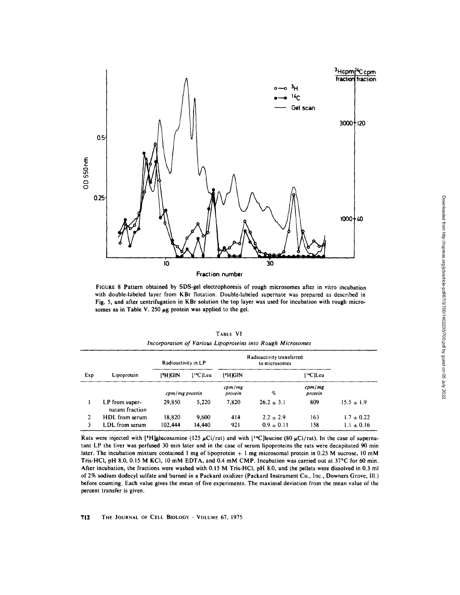

FIGURE 8 Pattern obtained by SDS-gel electrophoresis of rough microsomes after in vitro incubation with double-labeled layer from KBr flotation. Double-labeled supernate was prepared as described in Fig. 5, and after centrifugation in KBr solution the top layer was used for incubation with rough microsomes as in Table V. 250  $\mu$ g protein was applied to the gel.

|     | Incorporation of <i>Various</i> Lipoproteins into <i>Kough Microsomes</i> |                     |                       |                           |                |                       |                |  |  |  |
|-----|---------------------------------------------------------------------------|---------------------|-----------------------|---------------------------|----------------|-----------------------|----------------|--|--|--|
|     |                                                                           | Radioactivity in LP |                       | Radioactivity transferred |                |                       |                |  |  |  |
| Exp | Lipoprotein                                                               | ['H]GIN             | [ <sup>14</sup> C]Leu | ['H]GIN                   |                | [ <sup>14</sup> C]Leu |                |  |  |  |
|     |                                                                           | $cpm/mg$ protein    |                       | cpm/mg<br>protein         | $\%$           | cpm/mg<br>protein     |                |  |  |  |
|     | LP from super-<br>natant fraction                                         | 29.850              | 5.220                 | 7.820                     | $26.2 \pm 3.1$ | 809                   | $15.5 \pm 1.9$ |  |  |  |
| 2.  | HDL from serum                                                            | 18.820              | 9.600                 | 414                       | $2.2 \pm 2.9$  | 163                   | $1.7 \pm 0.22$ |  |  |  |
| 3   | LDL from serum                                                            | 102.444             | 14,440                | 921                       | $0.9 \pm 0.11$ | 158                   | $1.1 \pm 0.16$ |  |  |  |

TABLE VI *Incorporation of Various Lipoproteins into Rough Microsomes* 

Rats were injected with [<sup>3</sup>H]glucosamine (125  $\mu$ Ci/rat) and with [<sup>14</sup>C]leucine (80  $\mu$ Ci/rat). In the case of supernatant LP the liver was perfused 30 min later and in the case of serum lipoproteins the rats were decapitated 90 min later. The incubation mixture contained 1 mg of lipoprotein + I mg microsomal protein in 0.25 M sucrose, l0 mM Tris-HCl, pH 8.0, 0.15 M KCl, 10 mM EDTA, and 0.4 mM CMP. Incubation was carried out at 37°C for 60 min. After incubation, the fractions were washed with 0.15 M Tris-HCl, pH 8.0, and the pellets were dissolved in 0.3 ml of 2% sodium dodecyl sulfate and burned in a Packard oxidizer (Packard Instrument Co., Inc., Downers Grove, ill.) before counting. Each value gives the mean of five experiments. The maximal deviation from the mean value of the percent transfer is given.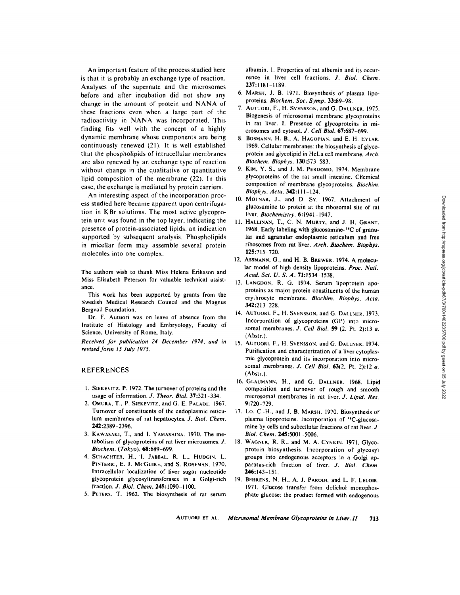An important feature of the process studied here is that it is probably an exchange type of reaction. Analyses of the supernate and the microsomes before and after incubation did not show any change in the amount of protein and NANA of these fractions even when a large part of the radioactivity in NANA was incorporated. This finding fits well with the concept of a highly dynamic membrane whose components are being continuously renewed (21). It is well established that the phospholipids of intracellular membranes are also renewed by an exchange type of reaction without change in the qualitative or quantitative lipid composition of the membrane (22). In this case, the exchange is mediated by protein carriers.

An interesting aspect of the incorporation process studied here became apparent upon centrifugation in KBr solutions. The most active glycoprotein unit was found in the top layer, indicating the presence of protein-associated lipids, an indication supported by subsequent analysis. Phospholipids in micellar form may assemble several protein molecules into one complex.

The authors wish to thank Miss Helena Eriksson and Miss Elisabeth Peterson for valuable technical assistance.

This work has been supported by grants from the Swedish Medical Research Council and the Magnus Bergvall Foundation.

Dr. F. Autuori was on leave of absence from the Institute of Histology and Embryology, Faculty of Science, University of Rome, Italy.

*Received for publication 24 December 1974, and in revised form 15 July 1975.* 

## REFERENCES

- 1. SIEKEVITZ, P. 1972. The turnover of proteins and the usage of information. J. Theor. Biol. 37:321-334.
- 2. OMura, T., P. SIEKEVIIZ, and G. E. PALADE. 1967. Turnover of constituents of the endoplasmic reticulum membranes of rat hepatocytes. *J. Biol. Chem.*  242:2389-2396.
- 3. KAWASAKI, T., and 1. YAMASHINA. 1970. The metabolism of glycoproteins of rat liver microsomes. J. *Bhgchem. (Tokyo).* 68:689-699.
- 4. SCHACHTER, H., I. JABBAL, R. L., HUDGIN, L, PINTERIC, E. J. McGUIRE, and S. ROSEMAN. 1970. lntracellular localization of liver sugar nucleotide glycoprotein glycosyltransferases in a Golgi-rich fraction, *d, Biol. Chem,* 245:1090-1100.
- 5. PETERS, T. 1962. The biosynthesis of rat serum

albumin. I. Properties of rat albumin and its occurrence in liver cell fractions. *J. Biol. Chem.*  237:1181-1189.

- 6. MARSH, J. B. 1971. Biosynthesis of plasma lipoproteins. *Biochem. Soc. Syrup.* 33:89-98.
- 7. AUTUORI, F., H. SVeNSSON, and G. DaLLNER. 1975. Biogenesis of microsomal membrane glycoproteins in rat liver. 1. Presence of glycoproteins in microsomes and cytosol. *J. Cell Biol.* 67:687-699.
- 8. BOSMANN, H. B., A. HAGOPIAN, and E. H. EYLAR. 1969. Cellular membranes: the biosynthesis of glycoprotein and glycolipid in HeLa cell membrane. *Arch. Biochem. Biophys.* 130:573-583.
- 9. KIM, Y. S., and J. M. PEROOMO. 1974. Membrane glycoproteins of the rat small intestine. Chemical composition of membrane glycoproteins. *Biochim. Biophys. Acta.* 342:111-124.
- 10. MOLNAR, J., and D. Sy. 1967. Attachment of glucosamine to protein at the ribosomal site of rat liver. *Biochemistry*. **6:1941-1947**.
- 11. Hallinan, T., C. N. Murty, and J. H. Grant. 1968. Early labeling with glucosamine-14C of granular and agranular endoplasmic reticulum and free ribosomes from rat liver. *Arch. Biochem. Biophys.*  125:715-720.
- 12. Assmann, G., and H. B. Brewer. 1974. A molecular model of high density lipoproteins. *Proc. Natl. Acad. Sci. U. 5;. A.* 71:!534-1538.
- 13. LANGDON, R. G. 1974. Serum lipoprotein apoproteins as major protein constituents of the human erythrocyte membrane. *Biochim. Biophys. Aeta.*  342:213 228.
- 14. AUTUORI, F., H. SVENSSON, and G. DALLNER. 1973. Incorporation of glycoproteins (GP) into microsomal membranes. *J. Cell Biol.* 59 (2, Pt. 2):13 a. (Ahstr.).
- AUTUORI, F., H. SVENSSON, and G. DALLNER. 1974. 15. Purification and characterization of a liver cytoplasmic glycoprotein and its incorporation into microsoma1 membranes. *J. Cell Biol.* 63(2, Pt. 2):12 a. (Abstr.).
- 16. GLAUMANN, H., and G. DALLNER. 1968. Lipid composition and turnover of rough and smooth microsomal membranes in rat liver. *J. Lipid. Res.*   $9:720 - 729$ .
- 17. Lo, C.-H., and J. B. MARSH. 1970. Biosynthesis of plasma lipoproteins. Incorporation of "C-glucosamine by cells and subcellular fractions of rat liver. J. *Biol. Chem.* 245:5001-5006.
- 18. WAGNER, R. R., and M. A. CYNKIN. 1971. Glycoprotein biosynthesis. Incorporation of glycosyl groups into endogenous acceptors in a Golgi apparatus-rich fraction of liver. *J. Biol. Chem.*  246:143-151.
- BEHRENS, N. H., A. J. PARODI, and L. F. LELOIR. 19. 1971. Glucose transfer from dolichol monophosphate glucose: the product formed with endogenous

AUTUOR! ET AL. *Microsomal Membrane Glycoproteins in Liver. II* 713